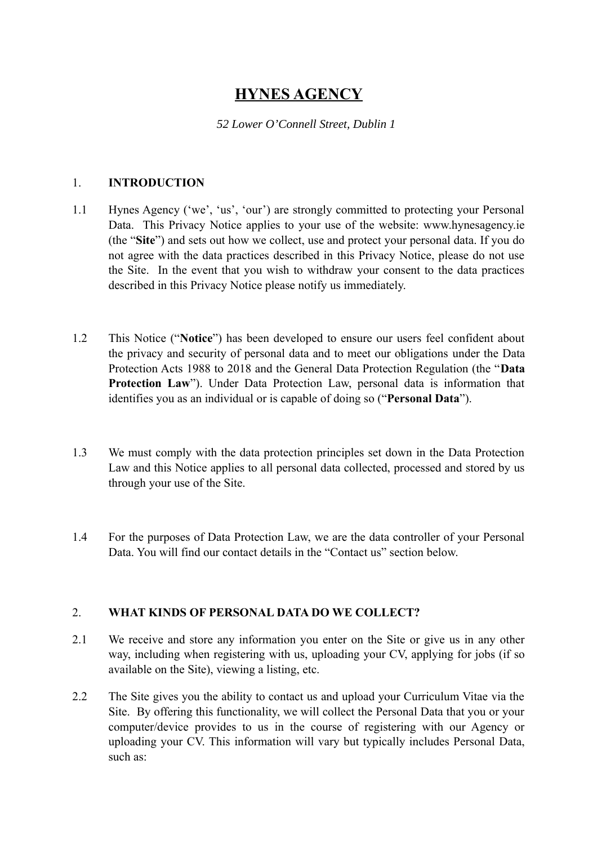# **HYNES AGENCY**

#### *52 Lower O'Connell Street, Dublin 1*

#### 1. **INTRODUCTION**

- 1.1 Hynes Agency ('we', 'us', 'our') are strongly committed to protecting your Personal Data. This Privacy Notice applies to your use of the website: www.hynesagency.ie (the "**Site**") and sets out how we collect, use and protect your personal data. If you do not agree with the data practices described in this Privacy Notice, please do not use the Site. In the event that you wish to withdraw your consent to the data practices described in this Privacy Notice please notify us immediately.
- 1.2 This Notice ("**Notice**") has been developed to ensure our users feel confident about the privacy and security of personal data and to meet our obligations under the Data Protection Acts 1988 to 2018 and the General Data Protection Regulation (the "**Data Protection Law**"). Under Data Protection Law, personal data is information that identifies you as an individual or is capable of doing so ("**Personal Data**").
- 1.3 We must comply with the data protection principles set down in the Data Protection Law and this Notice applies to all personal data collected, processed and stored by us through your use of the Site.
- 1.4 For the purposes of Data Protection Law, we are the data controller of your Personal Data. You will find our contact details in the "Contact us" section below.

## 2. **WHAT KINDS OF PERSONAL DATA DO WE COLLECT?**

- 2.1 We receive and store any information you enter on the Site or give us in any other way, including when registering with us, uploading your CV, applying for jobs (if so available on the Site), viewing a listing, etc.
- 2.2 The Site gives you the ability to contact us and upload your Curriculum Vitae via the Site. By offering this functionality, we will collect the Personal Data that you or your computer/device provides to us in the course of registering with our Agency or uploading your CV. This information will vary but typically includes Personal Data, such as: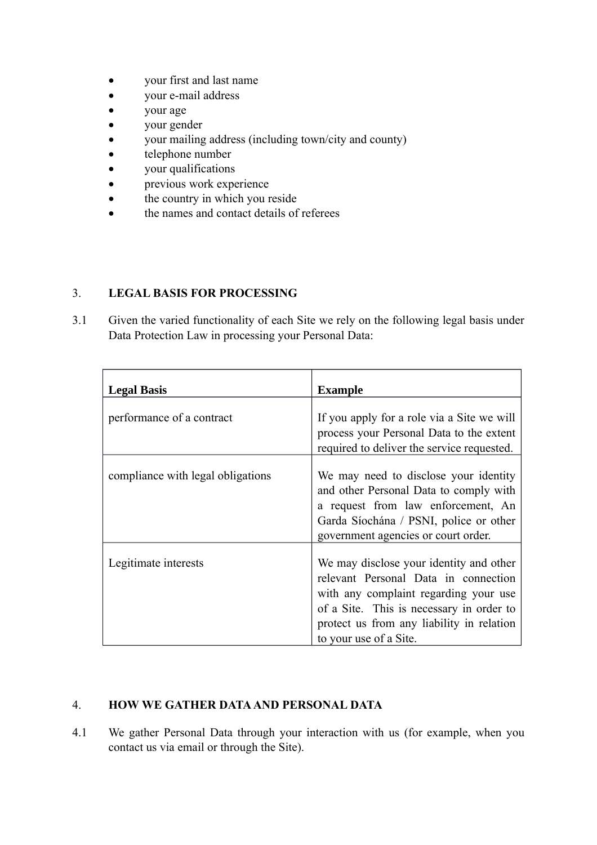- your first and last name
- your e-mail address
- your age
- your gender
- your mailing address (including town/city and county)
- telephone number
- your qualifications
- previous work experience
- the country in which you reside
- the names and contact details of referees

## 3. **LEGAL BASIS FOR PROCESSING**

3.1 Given the varied functionality of each Site we rely on the following legal basis under Data Protection Law in processing your Personal Data:

| <b>Legal Basis</b>                | <b>Example</b>                                                                                                                                                                                                                              |
|-----------------------------------|---------------------------------------------------------------------------------------------------------------------------------------------------------------------------------------------------------------------------------------------|
| performance of a contract         | If you apply for a role via a Site we will<br>process your Personal Data to the extent<br>required to deliver the service requested.                                                                                                        |
| compliance with legal obligations | We may need to disclose your identity<br>and other Personal Data to comply with<br>a request from law enforcement, An<br>Garda Síochána / PSNI, police or other<br>government agencies or court order.                                      |
| Legitimate interests              | We may disclose your identity and other<br>relevant Personal Data in connection<br>with any complaint regarding your use<br>of a Site. This is necessary in order to<br>protect us from any liability in relation<br>to your use of a Site. |

# 4. **HOW WE GATHER DATA AND PERSONAL DATA**

4.1 We gather Personal Data through your interaction with us (for example, when you contact us via email or through the Site).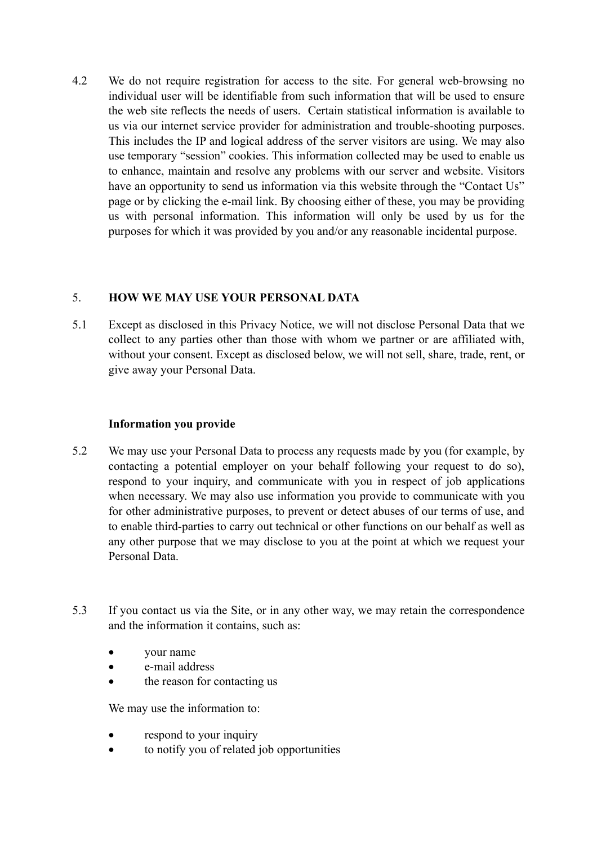4.2 We do not require registration for access to the site. For general web-browsing no individual user will be identifiable from such information that will be used to ensure the web site reflects the needs of users. Certain statistical information is available to us via our internet service provider for administration and trouble-shooting purposes. This includes the IP and logical address of the server visitors are using. We may also use temporary "session" cookies. This information collected may be used to enable us to enhance, maintain and resolve any problems with our server and website. Visitors have an opportunity to send us information via this website through the "Contact Us" page or by clicking the e-mail link. By choosing either of these, you may be providing us with personal information. This information will only be used by us for the purposes for which it was provided by you and/or any reasonable incidental purpose.

#### 5. **HOW WE MAY USE YOUR PERSONAL DATA**

5.1 Except as disclosed in this Privacy Notice, we will not disclose Personal Data that we collect to any parties other than those with whom we partner or are affiliated with, without your consent. Except as disclosed below, we will not sell, share, trade, rent, or give away your Personal Data.

#### **Information you provide**

- 5.2 We may use your Personal Data to process any requests made by you (for example, by contacting a potential employer on your behalf following your request to do so), respond to your inquiry, and communicate with you in respect of job applications when necessary. We may also use information you provide to communicate with you for other administrative purposes, to prevent or detect abuses of our terms of use, and to enable third-parties to carry out technical or other functions on our behalf as well as any other purpose that we may disclose to you at the point at which we request your Personal Data.
- 5.3 If you contact us via the Site, or in any other way, we may retain the correspondence and the information it contains, such as:
	- your name
	- e-mail address
	- the reason for contacting us

We may use the information to:

- respond to your inquiry
- to notify you of related job opportunities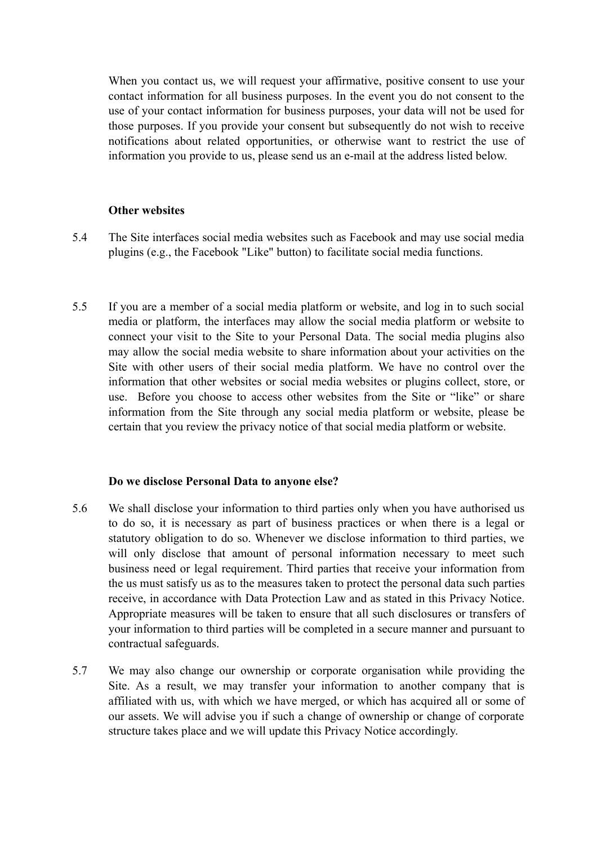When you contact us, we will request your affirmative, positive consent to use your contact information for all business purposes. In the event you do not consent to the use of your contact information for business purposes, your data will not be used for those purposes. If you provide your consent but subsequently do not wish to receive notifications about related opportunities, or otherwise want to restrict the use of information you provide to us, please send us an e-mail at the address listed below.

#### **Other websites**

- 5.4 The Site interfaces social media websites such as Facebook and may use social media plugins (e.g., the Facebook "Like" button) to facilitate social media functions.
- 5.5 If you are a member of a social media platform or website, and log in to such social media or platform, the interfaces may allow the social media platform or website to connect your visit to the Site to your Personal Data. The social media plugins also may allow the social media website to share information about your activities on the Site with other users of their social media platform. We have no control over the information that other websites or social media websites or plugins collect, store, or use. Before you choose to access other websites from the Site or "like" or share information from the Site through any social media platform or website, please be certain that you review the privacy notice of that social media platform or website.

#### **Do we disclose Personal Data to anyone else?**

- 5.6 We shall disclose your information to third parties only when you have authorised us to do so, it is necessary as part of business practices or when there is a legal or statutory obligation to do so. Whenever we disclose information to third parties, we will only disclose that amount of personal information necessary to meet such business need or legal requirement. Third parties that receive your information from the us must satisfy us as to the measures taken to protect the personal data such parties receive, in accordance with Data Protection Law and as stated in this Privacy Notice. Appropriate measures will be taken to ensure that all such disclosures or transfers of your information to third parties will be completed in a secure manner and pursuant to contractual safeguards.
- 5.7 We may also change our ownership or corporate organisation while providing the Site. As a result, we may transfer your information to another company that is affiliated with us, with which we have merged, or which has acquired all or some of our assets. We will advise you if such a change of ownership or change of corporate structure takes place and we will update this Privacy Notice accordingly.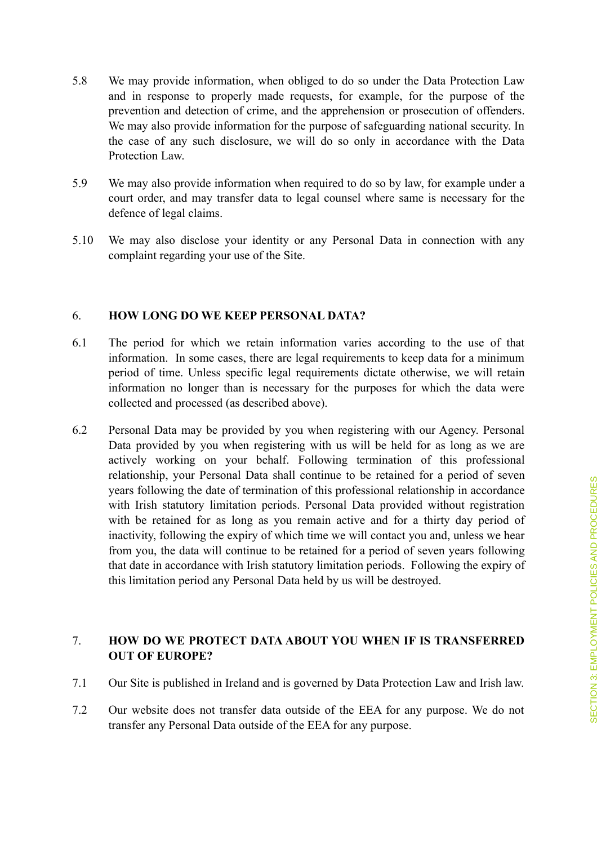- 5.8 We may provide information, when obliged to do so under the Data Protection Law and in response to properly made requests, for example, for the purpose of the prevention and detection of crime, and the apprehension or prosecution of offenders. We may also provide information for the purpose of safeguarding national security. In the case of any such disclosure, we will do so only in accordance with the Data Protection Law.
- 5.9 We may also provide information when required to do so by law, for example under a court order, and may transfer data to legal counsel where same is necessary for the defence of legal claims.
- 5.10 We may also disclose your identity or any Personal Data in connection with any complaint regarding your use of the Site.

#### 6. **HOW LONG DO WE KEEP PERSONAL DATA?**

- 6.1 The period for which we retain information varies according to the use of that information. In some cases, there are legal requirements to keep data for a minimum period of time. Unless specific legal requirements dictate otherwise, we will retain information no longer than is necessary for the purposes for which the data were collected and processed (as described above).
- 6.2 Personal Data may be provided by you when registering with our Agency. Personal Data provided by you when registering with us will be held for as long as we are actively working on your behalf. Following termination of this professional relationship, your Personal Data shall continue to be retained for a period of seven years following the date of termination of this professional relationship in accordance with Irish statutory limitation periods. Personal Data provided without registration with be retained for as long as you remain active and for a thirty day period of inactivity, following the expiry of which time we will contact you and, unless we hear from you, the data will continue to be retained for a period of seven years following that date in accordance with Irish statutory limitation periods. Following the expiry of this limitation period any Personal Data held by us will be destroyed.

## 7. **HOW DO WE PROTECT DATA ABOUT YOU WHEN IF IS TRANSFERRED OUT OF EUROPE?**

- 7.1 Our Site is published in Ireland and is governed by Data Protection Law and Irish law.
- 7.2 Our website does not transfer data outside of the EEA for any purpose. We do not transfer any Personal Data outside of the EEA for any purpose.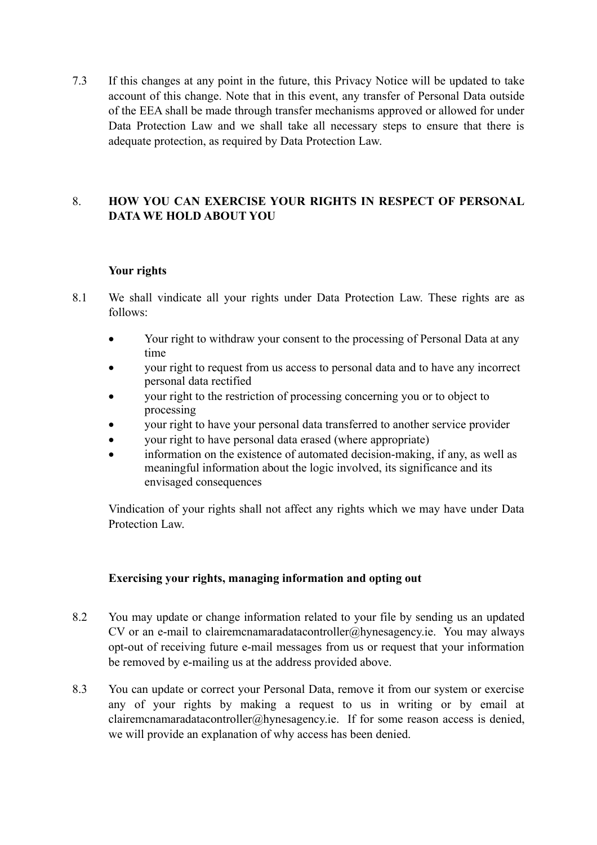7.3 If this changes at any point in the future, this Privacy Notice will be updated to take account of this change. Note that in this event, any transfer of Personal Data outside of the EEA shall be made through transfer mechanisms approved or allowed for under Data Protection Law and we shall take all necessary steps to ensure that there is adequate protection, as required by Data Protection Law.

# 8. **HOW YOU CAN EXERCISE YOUR RIGHTS IN RESPECT OF PERSONAL DATA WE HOLD ABOUT YOU**

## **Your rights**

- 8.1 We shall vindicate all your rights under Data Protection Law. These rights are as follows:
	- Your right to withdraw your consent to the processing of Personal Data at any time
	- your right to request from us access to personal data and to have any incorrect personal data rectified
	- your right to the restriction of processing concerning you or to object to processing
	- your right to have your personal data transferred to another service provider
	- your right to have personal data erased (where appropriate)
	- information on the existence of automated decision-making, if any, as well as meaningful information about the logic involved, its significance and its envisaged consequences

Vindication of your rights shall not affect any rights which we may have under Data Protection Law.

## **Exercising your rights, managing information and opting out**

- 8.2 You may update or change information related to your file by sending us an updated CV or an e-mail to clairemcnamaradatacontroller@hynesagency.ie. You may always opt-out of receiving future e-mail messages from us or request that your information be removed by e-mailing us at the address provided above.
- 8.3 You can update or correct your Personal Data, remove it from our system or exercise any of your rights by making a request to us in writing or by email at clairemcnamaradatacontroller@hynesagency.ie. If for some reason access is denied, we will provide an explanation of why access has been denied.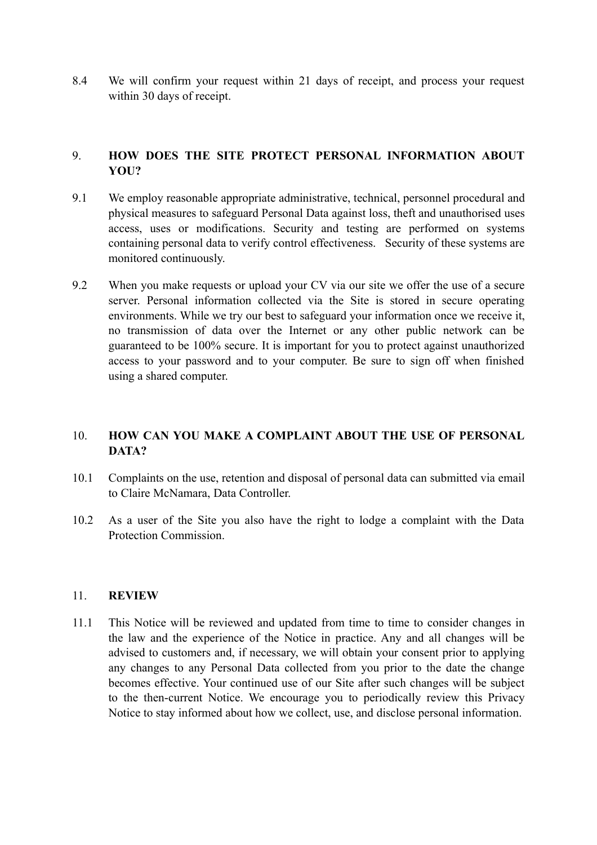8.4 We will confirm your request within 21 days of receipt, and process your request within 30 days of receipt.

## 9. **HOW DOES THE SITE PROTECT PERSONAL INFORMATION ABOUT YOU?**

- 9.1 We employ reasonable appropriate administrative, technical, personnel procedural and physical measures to safeguard Personal Data against loss, theft and unauthorised uses access, uses or modifications. Security and testing are performed on systems containing personal data to verify control effectiveness. Security of these systems are monitored continuously.
- 9.2 When you make requests or upload your CV via our site we offer the use of a secure server. Personal information collected via the Site is stored in secure operating environments. While we try our best to safeguard your information once we receive it, no transmission of data over the Internet or any other public network can be guaranteed to be 100% secure. It is important for you to protect against unauthorized access to your password and to your computer. Be sure to sign off when finished using a shared computer.

# 10. **HOW CAN YOU MAKE A COMPLAINT ABOUT THE USE OF PERSONAL DATA?**

- 10.1 Complaints on the use, retention and disposal of personal data can submitted via email to Claire McNamara, Data Controller.
- 10.2 As a user of the Site you also have the right to lodge a complaint with the Data Protection Commission.

#### 11. **REVIEW**

11.1 This Notice will be reviewed and updated from time to time to consider changes in the law and the experience of the Notice in practice. Any and all changes will be advised to customers and, if necessary, we will obtain your consent prior to applying any changes to any Personal Data collected from you prior to the date the change becomes effective. Your continued use of our Site after such changes will be subject to the then-current Notice. We encourage you to periodically review this Privacy Notice to stay informed about how we collect, use, and disclose personal information.